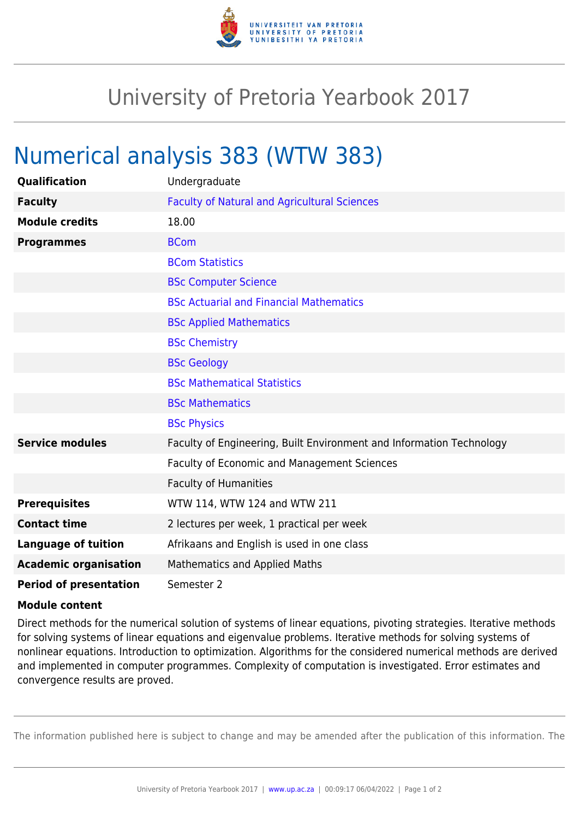

## University of Pretoria Yearbook 2017

## Numerical analysis 383 (WTW 383)

| <b>Qualification</b>          | Undergraduate                                                        |
|-------------------------------|----------------------------------------------------------------------|
| <b>Faculty</b>                | <b>Faculty of Natural and Agricultural Sciences</b>                  |
| <b>Module credits</b>         | 18.00                                                                |
| <b>Programmes</b>             | <b>BCom</b>                                                          |
|                               | <b>BCom Statistics</b>                                               |
|                               | <b>BSc Computer Science</b>                                          |
|                               | <b>BSc Actuarial and Financial Mathematics</b>                       |
|                               | <b>BSc Applied Mathematics</b>                                       |
|                               | <b>BSc Chemistry</b>                                                 |
|                               | <b>BSc Geology</b>                                                   |
|                               | <b>BSc Mathematical Statistics</b>                                   |
|                               | <b>BSc Mathematics</b>                                               |
|                               | <b>BSc Physics</b>                                                   |
| <b>Service modules</b>        | Faculty of Engineering, Built Environment and Information Technology |
|                               | Faculty of Economic and Management Sciences                          |
|                               | <b>Faculty of Humanities</b>                                         |
| <b>Prerequisites</b>          | WTW 114, WTW 124 and WTW 211                                         |
| <b>Contact time</b>           | 2 lectures per week, 1 practical per week                            |
| <b>Language of tuition</b>    | Afrikaans and English is used in one class                           |
| <b>Academic organisation</b>  | <b>Mathematics and Applied Maths</b>                                 |
| <b>Period of presentation</b> | Semester 2                                                           |

## **Module content**

Direct methods for the numerical solution of systems of linear equations, pivoting strategies. Iterative methods for solving systems of linear equations and eigenvalue problems. Iterative methods for solving systems of nonlinear equations. Introduction to optimization. Algorithms for the considered numerical methods are derived and implemented in computer programmes. Complexity of computation is investigated. Error estimates and convergence results are proved.

The information published here is subject to change and may be amended after the publication of this information. The